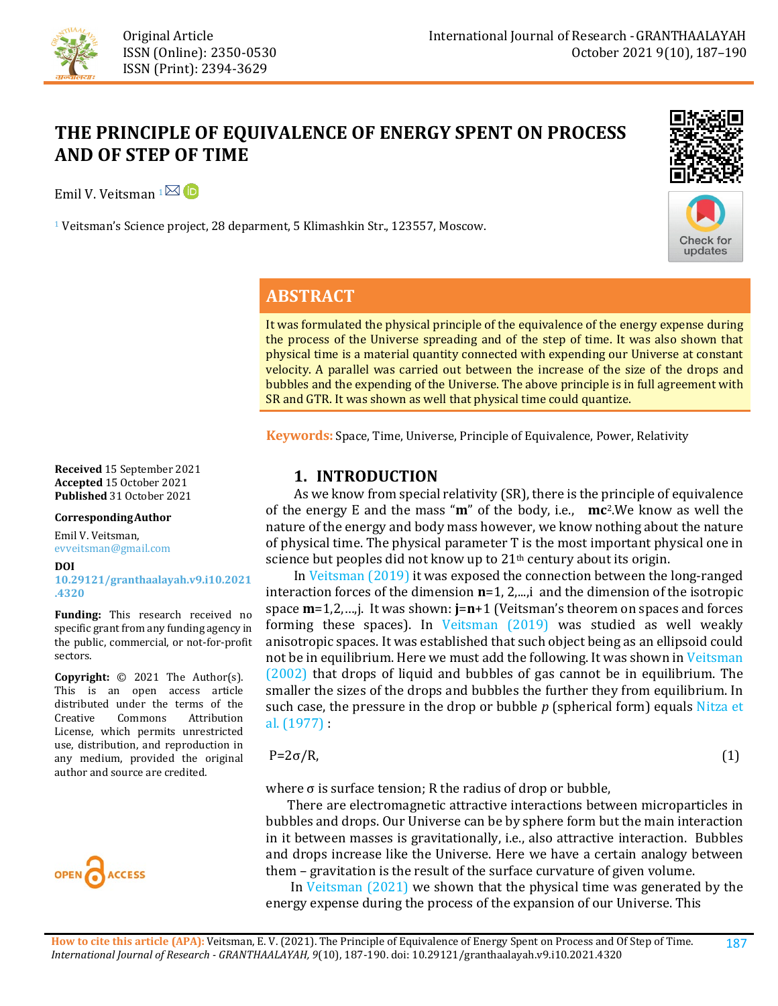

# **THE PRINCIPLE OF EQUIVALENCE OF ENERGY SPENT ON PROCESS AND OF STEP OF TIME**

Emil V. Veitsman  $1^{\text{N}}$  D

<sup>1</sup> Veitsman's Science project, 28 deparment, 5 Klimashkin Str., 123557, Moscow.





## **ABSTRACT**

It was formulated the physical principle of the equivalence of the energy expense during the process of the Universe spreading and of the step of time. It was also shown that physical time is a material quantity connected with expending our Universe at constant velocity. A parallel was carried out between the increase of the size of the drops and bubbles and the expending of the Universe. The above principle is in full agreement with SR and GTR. It was shown as well that physical time could quantize.

**Keywords:** Space, Time, Universe, Principle of Equivalence, Power, Relativity

### **1. INTRODUCTION**

 As we know from special relativity (SR), there is the principle of equivalence of the energy E and the mass "**m**" of the body, i.e., **mc**2.We know as well the nature of the energy and body mass however, we know nothing about the nature of physical time. The physical parameter T is the most important physical one in science but peoples did not know up to 21<sup>th</sup> century about its origin.

 I[n Veitsman \(2019\)](#page-3-0) it was exposed the connection between the long-ranged interaction forces of the dimension **n**=1, 2,...,i and the dimension of the isotropic space **m**=1,2,…,j. It was shown: **j**=**n**+1 (Veitsman's theorem on spaces and forces forming these spaces). In [Veitsman \(2019\)](#page-3-0) was studied as well weakly anisotropic spaces. It was established that such object being as an ellipsoid could not be in equilibrium. Here we must add the following. It was shown in [Veitsman](#page-3-1)  [\(2002\)](#page-3-1) that drops of liquid and bubbles of gas cannot be in equilibrium. The smaller the sizes of the drops and bubbles the further they from equilibrium. In such case, the pressure in the drop or bubble *p* (spherical form) equals [Nitza et](#page-3-2)  [al. \(1977\)](#page-3-2) :

### $P=2\sigma/R$ , (1)

where  $\sigma$  is surface tension; R the radius of drop or bubble,

 There are electromagnetic attractive interactions between microparticles in bubbles and drops. Our Universe can be by sphere form but the main interaction in it between masses is gravitationally, i.e., also attractive interaction. Bubbles and drops increase like the Universe. Here we have a certain analogy between them – gravitation is the result of the surface curvature of given volume.

 In [Veitsman \(2021\)](#page-3-3) we shown that the physical time was generated by the energy expense during the process of the expansion of our Universe. This

**Received** 15 September 2021 **Accepted** 15 October 2021 **Published** 31 October 2021

#### **CorrespondingAuthor**

Emil V. Veitsman, evveitsman@gmail.com

#### **DOI**

**[10.29121/granthaalayah.v9.i10.2021](https://dx.doi.org/10.29121/granthaalayah.v9.i10.2021.4320) [.4320](https://dx.doi.org/10.29121/granthaalayah.v9.i10.2021.4320)**

**Funding:** This research received no specific grant from any funding agency in the public, commercial, or not-for-profit sectors.

**Copyright:** © 2021 The Author(s). This is an open access article distributed under the terms of the<br>Creative Commons Attribution Attribution License, which permits unrestricted use, distribution, and reproduction in any medium, provided the original author and source are credited.



187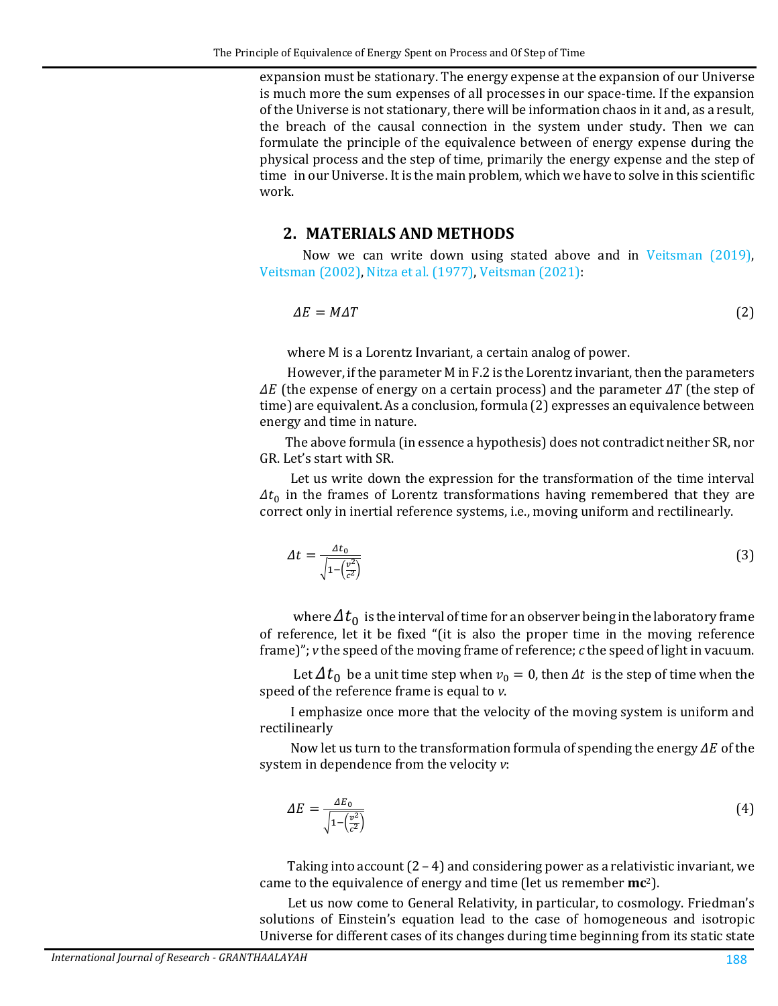expansion must be stationary. The energy expense at the expansion of our Universe is much more the sum expenses of all processes in our space-time. If the expansion of the Universe is not stationary, there will be information chaos in it and, as a result, the breach of the causal connection in the system under study. Then we can formulate the principle of the equivalence between of energy expense during the physical process and the step of time, primarily the energy expense and the step of time in our Universe. It is the main problem, which we have to solve in this scientific work.

### **2. MATERIALS AND METHODS**

 Now we can write down using stated above and in [Veitsman \(2019\),](#page-3-0) [Veitsman \(2002\),](#page-3-1) [Nitza et al. \(1977\),](#page-3-2) [Veitsman \(2021\):](#page-3-3)

$$
\Delta E = M \Delta T \tag{2}
$$

where M is a Lorentz Invariant, a certain analog of power.

 However, if the parameter M in F.2 is the Lorentz invariant, then the parameters  $\Delta E$  (the expense of energy on a certain process) and the parameter  $\Delta T$  (the step of time) are equivalent. As a conclusion, formula (2) expresses an equivalence between energy and time in nature.

 The above formula (in essence a hypothesis) does not contradict neither SR, nor GR. Let's start with SR.

Let us write down the expression for the transformation of the time interval  $\Delta t_0$  in the frames of Lorentz transformations having remembered that they are correct only in inertial reference systems, i.e., moving uniform and rectilinearly.

$$
\Delta t = \frac{\Delta t_0}{\sqrt{1 - \left(\frac{v^2}{c^2}\right)}}\tag{3}
$$

where  $\Delta t_0$  is the interval of time for an observer being in the laboratory frame of reference, let it be fixed "(it is also the proper time in the moving reference frame)"; *v* the speed of the moving frame of reference; *c* the speed of light in vacuum.

Let  $\Delta t_0$  be a unit time step when  $v_0 = 0$ , then  $\Delta t$  is the step of time when the speed of the reference frame is equal to *v*.

I emphasize once more that the velocity of the moving system is uniform and rectilinearly

Now let us turn to the transformation formula of spending the energy  $\Delta E$  of the system in dependence from the velocity *v*:

$$
\Delta E = \frac{\Delta E_0}{\sqrt{1 - \left(\frac{v^2}{c^2}\right)}}\tag{4}
$$

Taking into account  $(2 - 4)$  and considering power as a relativistic invariant, we came to the equivalence of energy and time (let us remember **mc**2).

 Let us now come to General Relativity, in particular, to cosmology. Friedman's solutions of Einstein's equation lead to the case of homogeneous and isotropic Universe for different cases of its changes during time beginning from its static state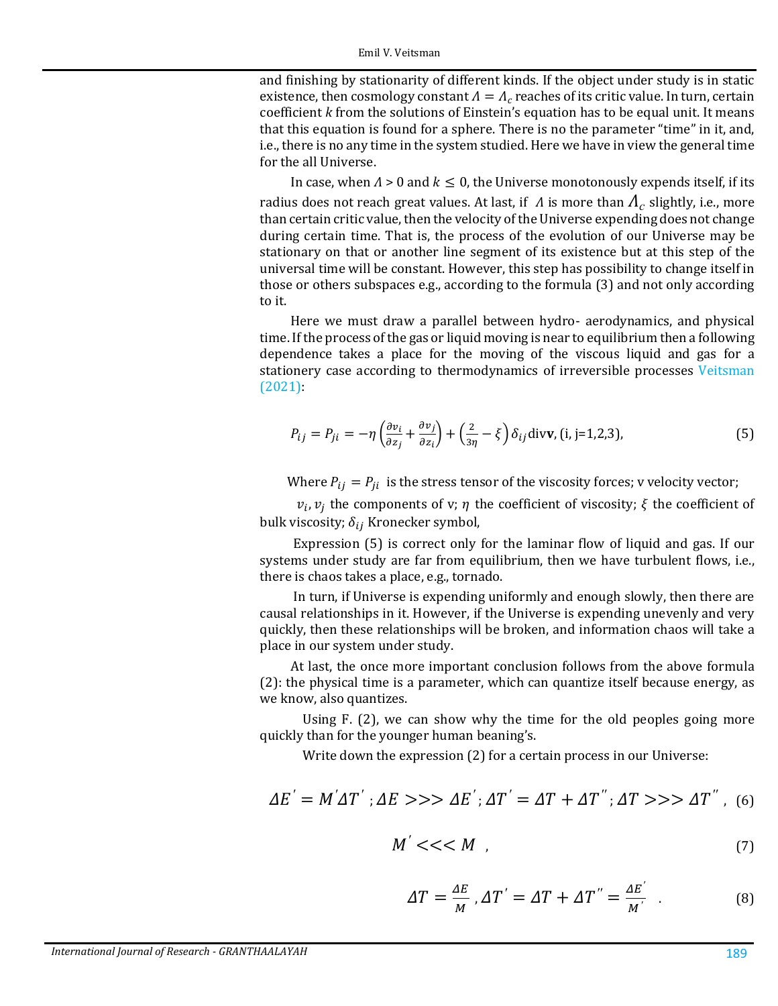and finishing by stationarity of different kinds. If the object under study is in static existence, then cosmology constant  $\Lambda = \Lambda_c$  reaches of its critic value. In turn, certain coefficient *k* from the solutions of Einstein's equation has to be equal unit. It means that this equation is found for a sphere. There is no the parameter "time" in it, and, i.e., there is no any time in the system studied. Here we have in view the general time for the all Universe.

In case, when  $\Lambda > 0$  and  $k \leq 0$ , the Universe monotonously expends itself, if its radius does not reach great values. At last, if  $\Lambda$  is more than  $\Lambda_c$  slightly, i.e., more than certain critic value, then the velocity of the Universe expending does not change during certain time. That is, the process of the evolution of our Universe may be stationary on that or another line segment of its existence but at this step of the universal time will be constant. However, this step has possibility to change itself in those or others subspaces e.g., according to the formula (3) and not only according to it.

Here we must draw a parallel between hydro- aerodynamics, and physical time. If the process of the gas or liquid moving is near to equilibrium then a following dependence takes a place for the moving of the viscous liquid and gas for a stationery case according to thermodynamics of irreversible processes Veitsman [\(2021\):](#page-3-3)

$$
P_{ij} = P_{ji} = -\eta \left( \frac{\partial v_i}{\partial z_j} + \frac{\partial v_j}{\partial z_i} \right) + \left( \frac{2}{3\eta} - \xi \right) \delta_{ij} \text{div} \mathbf{v}, (i, j = 1, 2, 3), \tag{5}
$$

Where  $P_{ij} = P_{ji}$  is the stress tensor of the viscosity forces; v velocity vector;

 $v_i$ ,  $v_j$  the components of v;  $\eta$  the coefficient of viscosity;  $\xi$  the coefficient of bulk viscosity;  $\delta_{ij}$  Kronecker symbol,

 Expression (5) is correct only for the laminar flow of liquid and gas. If our systems under study are far from equilibrium, then we have turbulent flows, i.e., there is chaos takes a place, e.g., tornado.

 In turn, if Universe is expending uniformly and enough slowly, then there are causal relationships in it. However, if the Universe is expending unevenly and very quickly, then these relationships will be broken, and information chaos will take a place in our system under study.

At last, the once more important conclusion follows from the above formula (2): the physical time is a parameter, which can quantize itself because energy, as we know, also quantizes.

 Using F. (2), we can show why the time for the old peoples going more quickly than for the younger human beaning's.

Write down the expression (2) for a certain process in our Universe:

$$
\Delta E' = M' \Delta T'; \Delta E \gg \Delta E'; \Delta T' = \Delta T + \Delta T''; \Delta T \gg \Delta T'' \,.
$$
 (6)

$$
M' << < M \tag{7}
$$

$$
\Delta T = \frac{\Delta E}{M}, \Delta T' = \Delta T + \Delta T'' = \frac{\Delta E'}{M'} \quad . \tag{8}
$$